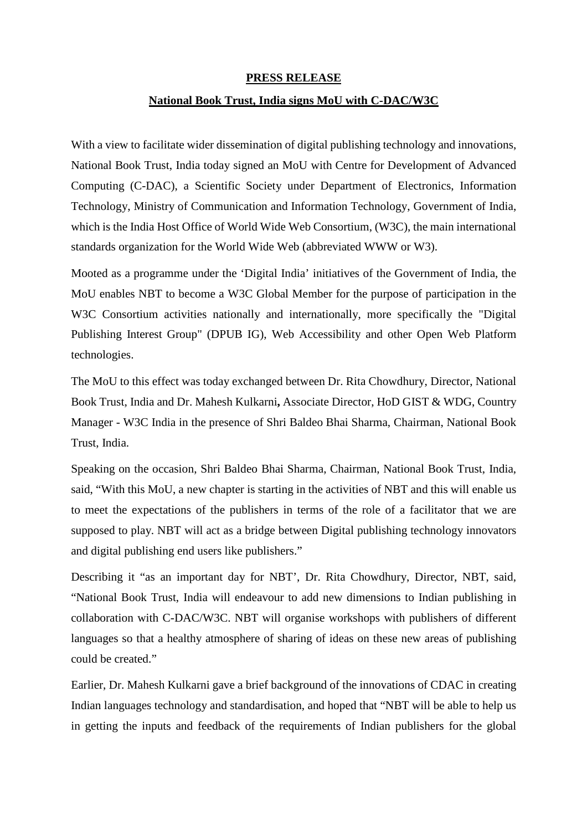## **PRESS RELEASE**

## **National Book Trust, India signs MoU with C-DAC/W3C**

With a view to facilitate wider dissemination of digital publishing technology and innovations, National Book Trust, India today signed an MoU with Centre for Development of Advanced Computing (C-DAC), a Scientific Society under Department of Electronics, Information Technology, Ministry of Communication and Information Technology, Government of India, which is the India Host Office of World Wide Web Consortium, (W3C), the main international standards organization for the World Wide Web (abbreviated WWW or W3).

Mooted as a programme under the 'Digital India' initiatives of the Government of India, the MoU enables NBT to become a W3C Global Member for the purpose of participation in the W3C Consortium activities nationally and internationally, more specifically the "Digital" Publishing Interest Group" (DPUB IG), Web Accessibility and other Open Web Platform technologies.

The MoU to this effect was today exchanged between Dr. Rita Chowdhury, Director, National Book Trust, India and Dr. Mahesh Kulkarni**,** Associate Director, HoD GIST & WDG, Country Manager - W3C India in the presence of Shri Baldeo Bhai Sharma, Chairman, National Book Trust, India.

Speaking on the occasion, Shri Baldeo Bhai Sharma, Chairman, National Book Trust, India, said, "With this MoU, a new chapter is starting in the activities of NBT and this will enable us to meet the expectations of the publishers in terms of the role of a facilitator that we are supposed to play. NBT will act as a bridge between Digital publishing technology innovators and digital publishing end users like publishers."

Describing it "as an important day for NBT', Dr. Rita Chowdhury, Director, NBT, said, "National Book Trust, India will endeavour to add new dimensions to Indian publishing in collaboration with C-DAC/W3C. NBT will organise workshops with publishers of different languages so that a healthy atmosphere of sharing of ideas on these new areas of publishing could be created."

Earlier, Dr. Mahesh Kulkarni gave a brief background of the innovations of CDAC in creating Indian languages technology and standardisation, and hoped that "NBT will be able to help us in getting the inputs and feedback of the requirements of Indian publishers for the global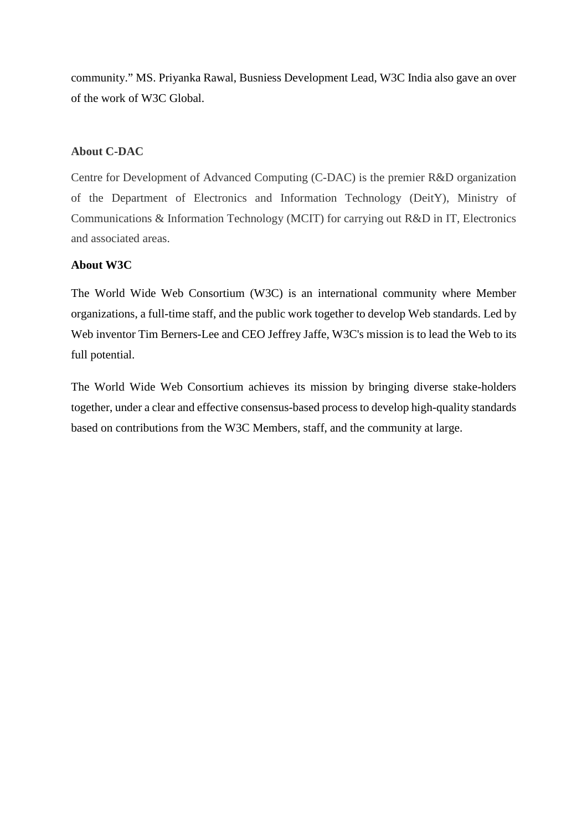community." MS. Priyanka Rawal, Busniess Development Lead, W3C India also gave an over of the work of W3C Global.

## **About C-DAC**

Centre for Development of Advanced Computing (C-DAC) is the premier R&D organization of the Department of Electronics and Information Technology (DeitY), Ministry of Communications & Information Technology (MCIT) for carrying out R&D in IT, Electronics and associated areas.

## **About W3C**

The World Wide Web Consortium (W3C) is an international community where Member organizations, a full-time staff, and the public work together to develop Web standards. Led by Web inventor Tim Berners-Lee and CEO Jeffrey Jaffe, W3C's mission is to lead the Web to its full potential.

The World Wide Web Consortium achieves its mission by bringing diverse stake-holders together, under a clear and effective consensus-based process to develop high-quality standards based on contributions from the W3C Members, staff, and the community at large.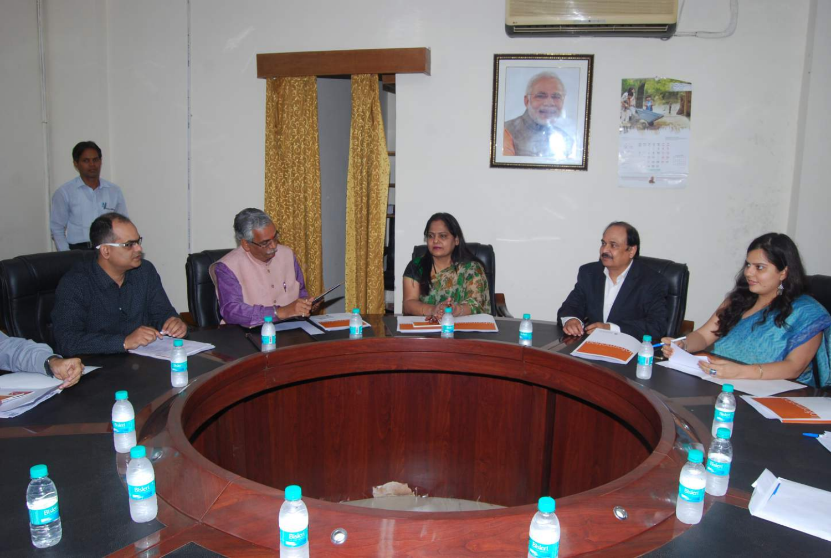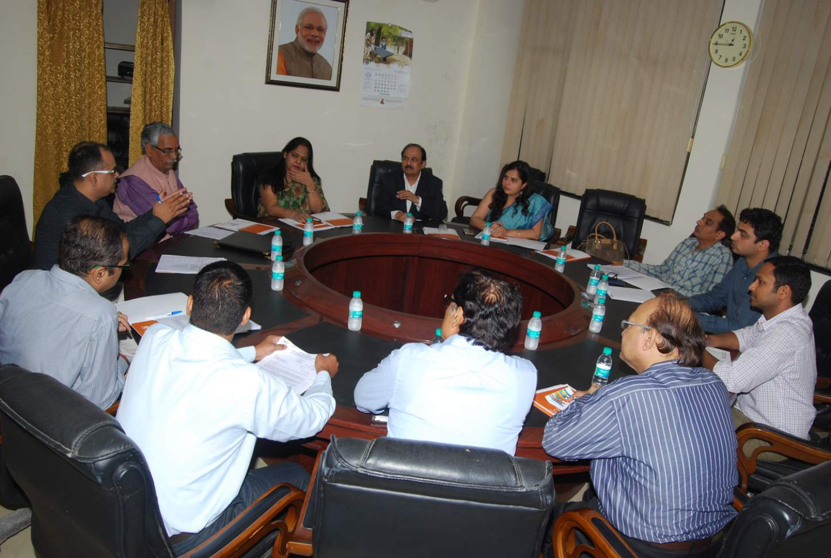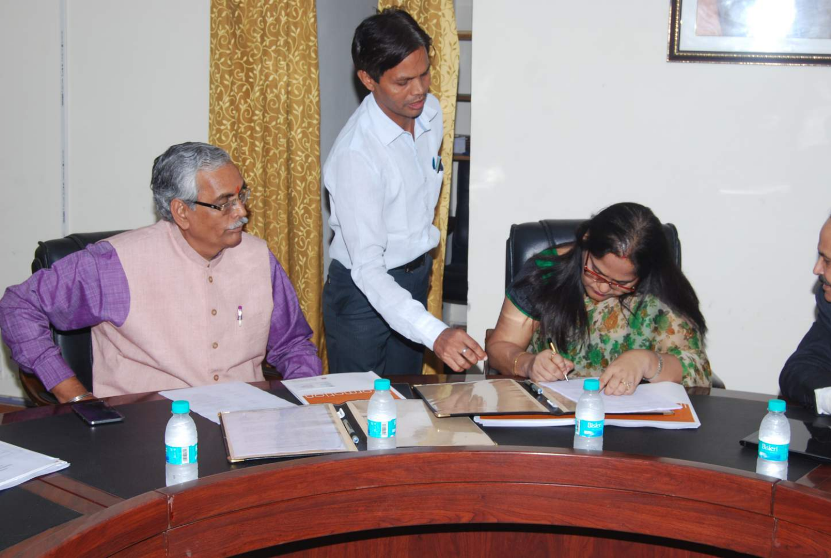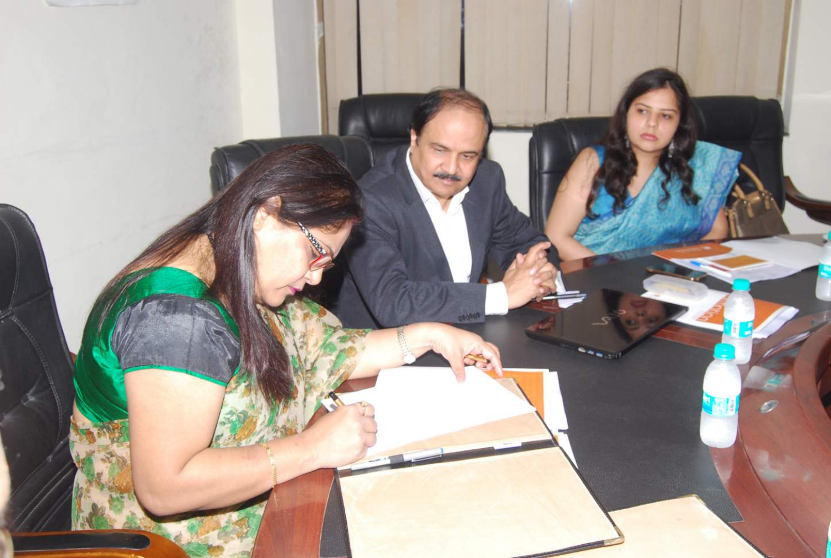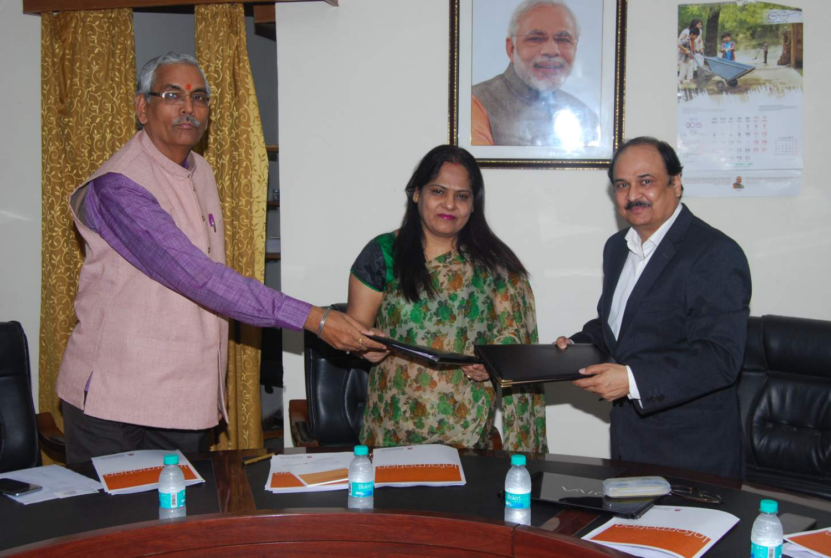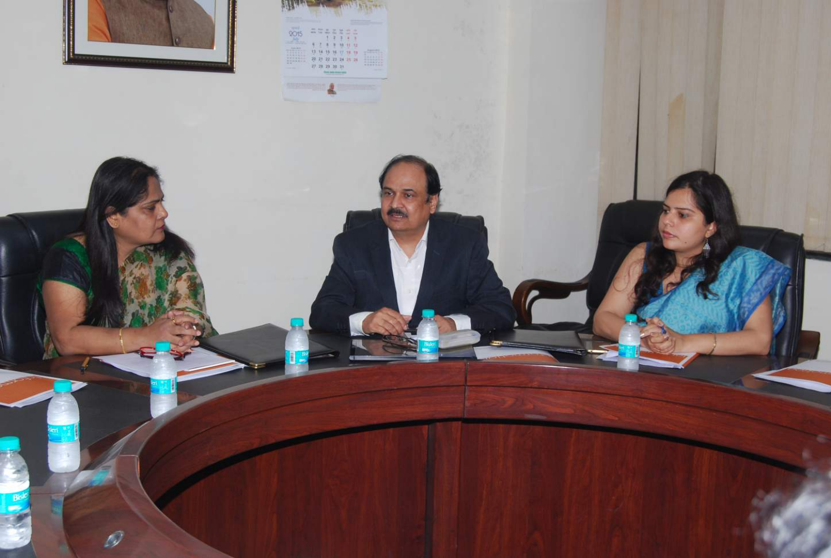

Bis

Ø